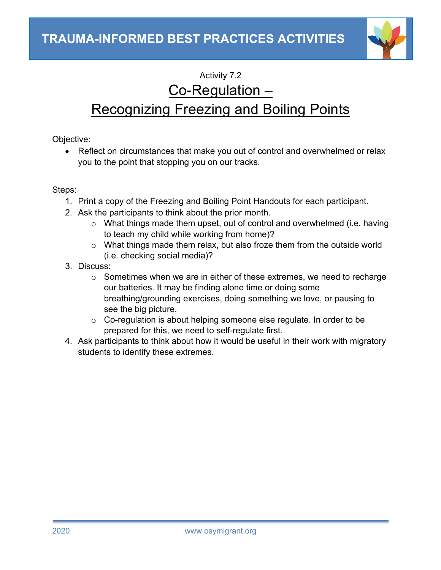

## Activity 7.2

## Co-Regulation –

## Recognizing Freezing and Boiling Points

Objective:

• Reflect on circumstances that make you out of control and overwhelmed or relax you to the point that stopping you on our tracks.

Steps:

- 1. Print a copy of the Freezing and Boiling Point Handouts for each participant.
- 2. Ask the participants to think about the prior month.
	- o What things made them upset, out of control and overwhelmed (i.e. having to teach my child while working from home)?
	- o What things made them relax, but also froze them from the outside world (i.e. checking social media)?
- 3. Discuss:
	- o Sometimes when we are in either of these extremes, we need to recharge our batteries. It may be finding alone time or doing some breathing/grounding exercises, doing something we love, or pausing to see the big picture.
	- o Co-regulation is about helping someone else regulate. In order to be prepared for this, we need to self-regulate first.
- 4. Ask participants to think about how it would be useful in their work with migratory students to identify these extremes.